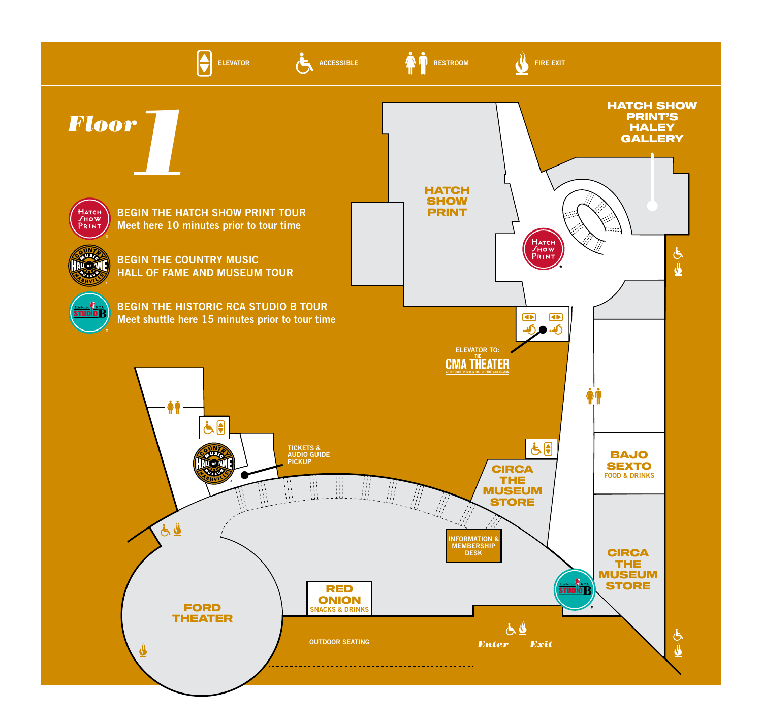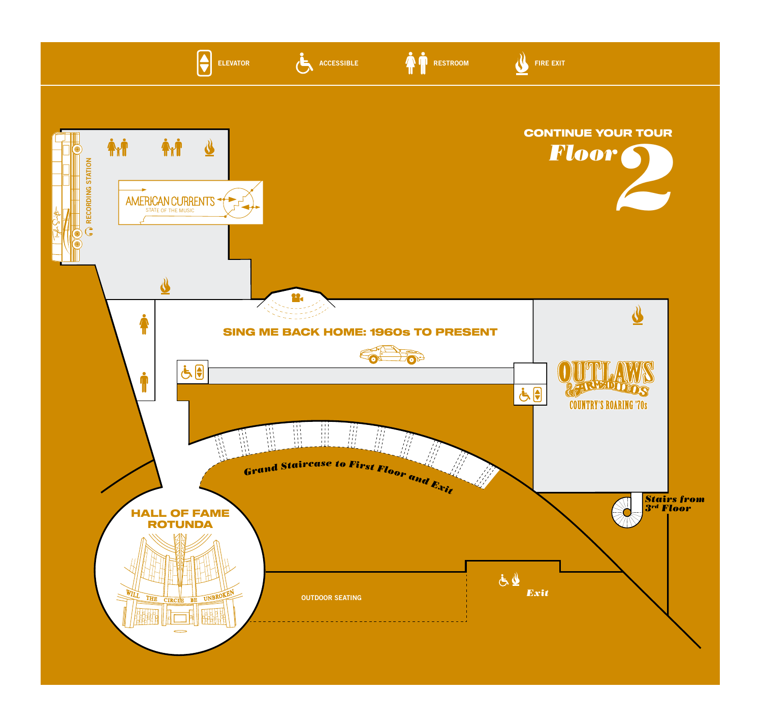